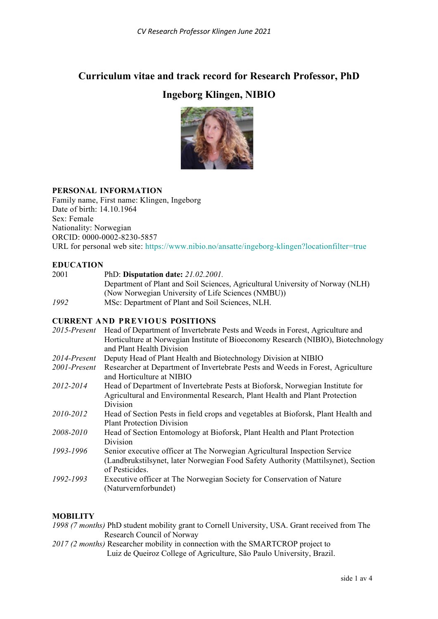# **Curriculum vitae and track record for Research Professor, PhD**

# **Ingeborg Klingen, NIBIO**



# **PERSONAL INFORMATION**

Family name, First name: Klingen, Ingeborg Date of birth: 14.10.1964 Sex: Female Nationality: Norwegian ORCID: 0000-0002-8230-5857 URL for personal web site: <https://www.nibio.no/ansatte/ingeborg-klingen?locationfilter=true>

# **EDUCATION**

2001 PhD: **Disputation date:** *21.02.2001.* Department of Plant and Soil Sciences, Agricultural University of Norway (NLH) (Now Norwegian University of Life Sciences (NMBU)) *1992* MSc: Department of Plant and Soil Sciences, NLH.

# **CURRENT AND PREVIOUS POSITIONS**

| 2015-Present | Head of Department of Invertebrate Pests and Weeds in Forest, Agriculture and<br>Horticulture at Norwegian Institute of Bioeconomy Research (NIBIO), Biotechnology<br>and Plant Health Division |
|--------------|-------------------------------------------------------------------------------------------------------------------------------------------------------------------------------------------------|
| 2014-Present | Deputy Head of Plant Health and Biotechnology Division at NIBIO                                                                                                                                 |
| 2001-Present | Researcher at Department of Invertebrate Pests and Weeds in Forest, Agriculture<br>and Horticulture at NIBIO                                                                                    |
| 2012-2014    | Head of Department of Invertebrate Pests at Bioforsk, Norwegian Institute for<br>Agricultural and Environmental Research, Plant Health and Plant Protection<br>Division                         |
| 2010-2012    | Head of Section Pests in field crops and vegetables at Bioforsk, Plant Health and<br><b>Plant Protection Division</b>                                                                           |
| 2008-2010    | Head of Section Entomology at Bioforsk, Plant Health and Plant Protection<br>Division                                                                                                           |
| 1993-1996    | Senior executive officer at The Norwegian Agricultural Inspection Service<br>(Landbrukstilsynet, later Norwegian Food Safety Authority (Mattilsynet), Section<br>of Pesticides.                 |
| 1992-1993    | Executive officer at The Norwegian Society for Conservation of Nature<br>(Naturvernforbundet)                                                                                                   |

# **MOBILITY**

| 1998 (7 months) PhD student mobility grant to Cornell University, USA. Grant received from The |  |                            |  |  |  |  |  |
|------------------------------------------------------------------------------------------------|--|----------------------------|--|--|--|--|--|
|                                                                                                |  | Research Council of Norway |  |  |  |  |  |
|                                                                                                |  |                            |  |  |  |  |  |

*2017 (2 months)* Researcher mobility in connection with the SMARTCROP project to Luiz de Queiroz College of Agriculture, São Paulo University, Brazil.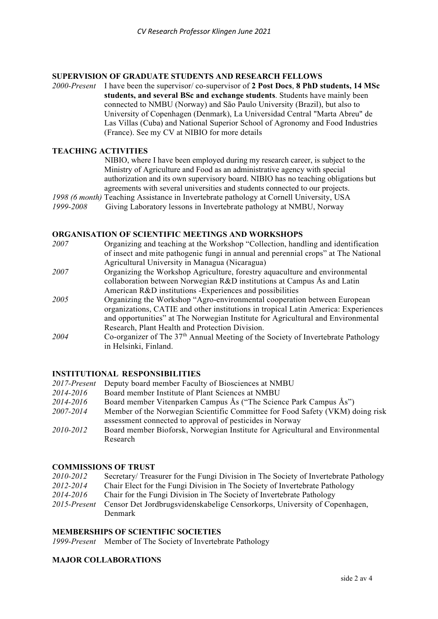# **SUPERVISION OF GRADUATE STUDENTS AND RESEARCH FELLOWS** 2000-Present I have been the supervisor/ co-supervisor of 2 Post Docs, 8 PhD s

*2000-Present* I have been the supervisor/ co-supervisor of **2 Post Docs**, **8 PhD students, 14 MSc students, and several BSc and exchange students**. Students have mainly been connected to NMBU (Norway) and São Paulo University (Brazil), but also to University of Copenhagen (Denmark), La Universidad Central "Marta Abreu" de Las Villas (Cuba) and National Superior School of Agronomy and Food Industries (France). See my CV at NIBIO for more details

# **TEACHING ACTIVITIES**

NIBIO, where I have been employed during my research career, is subject to the Ministry of Agriculture and Food as an administrative agency with special authorization and its own supervisory board. NIBIO has no teaching obligations but agreements with several universities and students connected to our projects.

*1998 (6 month)* Teaching Assistance in Invertebrate pathology at Cornell University, USA

Giving Laboratory lessons in Invertebrate pathology at NMBU, Norway

## **ORGANISATION OF SCIENTIFIC MEETINGS AND WORKSHOPS**

| 2007 | Organizing and teaching at the Workshop "Collection, handling and identification   |
|------|------------------------------------------------------------------------------------|
|      | of insect and mite pathogenic fungi in annual and perennial crops" at The National |
|      | Agricultural University in Managua (Nicaragua)                                     |
| 2007 | Organizing the Workshop Agriculture, forestry aquaculture and environmental        |
|      | collaboration between Norwegian R&D institutions at Campus Ås and Latin            |
|      | American R&D institutions -Experiences and possibilities                           |
| 2005 | Organizing the Workshop "Agro-environmental cooperation between European           |
|      | organizations, CATIE and other institutions in tropical Latin America: Experiences |
|      | and opportunities" at The Norwegian Institute for Agricultural and Environmental   |
|      | Research, Plant Health and Protection Division.                                    |
| 2004 | Co-organizer of The $37th$ Annual Meeting of the Society of Invertebrate Pathology |
|      | in Helsinki, Finland.                                                              |

# **INSTITUTIONAL RESPONSIBILITIES**

| 2017-Present | Deputy board member Faculty of Biosciences at NMBU                            |
|--------------|-------------------------------------------------------------------------------|
| 2014-2016    | Board member Institute of Plant Sciences at NMBU                              |
| 2014-2016    | Board member Vitenparken Campus Ås ("The Science Park Campus Ås")             |
| 2007-2014    | Member of the Norwegian Scientific Committee for Food Safety (VKM) doing risk |
|              | assessment connected to approval of pesticides in Norway                      |
| 2010-2012    | Board member Bioforsk, Norwegian Institute for Agricultural and Environmental |
|              | Research                                                                      |

#### **COMMISSIONS OF TRUST**

| 2010-2012    | Secretary/ Treasurer for the Fungi Division in The Society of Invertebrate Pathology |
|--------------|--------------------------------------------------------------------------------------|
| 2012-2014    | Chair Elect for the Fungi Division in The Society of Invertebrate Pathology          |
| 2014-2016    | Chair for the Fungi Division in The Society of Invertebrate Pathology                |
| 2015-Present | Censor Det Jordbrugsvidenskabelige Censorkorps, University of Copenhagen,            |
|              | Denmark                                                                              |

#### **MEMBERSHIPS OF SCIENTIFIC SOCIETIES**

*1999-Present* Member of The Society of Invertebrate Pathology

## **MAJOR COLLABORATIONS**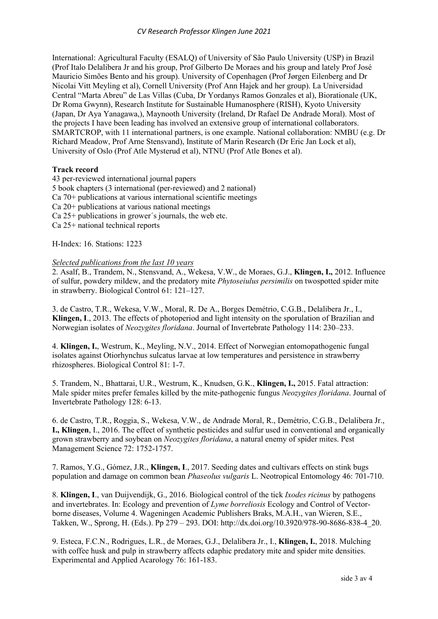International: Agricultural Faculty (ESALQ) of University of São Paulo University (USP) in Brazil (Prof Italo Delalibera Jr and his group, Prof Gilberto De Moraes and his group and lately Prof José Mauricio Simões Bento and his group). University of Copenhagen (Prof Jørgen Eilenberg and Dr Nicolai Vitt Meyling et al), Cornell University (Prof Ann Hajek and her group). La Universidad Central "Marta Abreu" de Las Villas (Cuba, Dr Yordanys Ramos Gonzales et al), Biorationale (UK, Dr Roma Gwynn), Research Institute for Sustainable Humanosphere (RISH), Kyoto University (Japan, Dr Aya Yanagawa,), Maynooth University (Ireland, Dr Rafael De Andrade Moral). Most of the projects I have been leading has involved an extensive group of international collaborators. SMARTCROP, with 11 international partners, is one example. National collaboration: NMBU (e.g. Dr Richard Meadow, Prof Arne Stensvand), Institute of Marin Research (Dr Eric Jan Lock et al), University of Oslo (Prof Atle Mysterud et al), NTNU (Prof Atle Bones et al).

#### **Track record**

43 per-reviewed international journal papers 5 book chapters (3 international (per-reviewed) and 2 national) Ca 70+ publications at various international scientific meetings Ca 20+ publications at various national meetings Ca 25+ publications in grower´s journals, the web etc. Ca 25+ national technical reports

H-Index: 16. Stations: 1223

# *Selected publications from the last 10 years*

2. Asalf, B., Trandem, N., Stensvand, A., Wekesa, V.W., de Moraes, G.J., **Klingen, I.,** 2012. Influence of sulfur, powdery mildew, and the predatory mite *Phytoseiulus persimilis* on twospotted spider mite in strawberry. Biological Control 61: 121–127.

3. de Castro, T.R., Wekesa, V.W., Moral, R. De A., Borges Demétrio, C.G.B., Delalibera Jr., I., **Klingen, I**., 2013. The effects of photoperiod and light intensity on the sporulation of Brazilian and Norwegian isolates of *Neozygites floridana*. Journal of Invertebrate Pathology 114: 230–233.

4. **Klingen, I.**, Westrum, K., Meyling, N.V., 2014. Effect of Norwegian entomopathogenic fungal isolates against Otiorhynchus sulcatus larvae at low temperatures and persistence in strawberry rhizospheres. Biological Control 81: 1-7.

5. Trandem, N., Bhattarai, U.R., Westrum, K., Knudsen, G.K., **Klingen, I.,** 2015. Fatal attraction: Male spider mites prefer females killed by the mite-pathogenic fungus *Neozygites floridana*. Journal of Invertebrate Pathology 128: 6-13.

6. de Castro, T.R., Roggia, S., Wekesa, V.W., de Andrade Moral, R., Demétrio, C.G.B., Delalibera Jr., **I., Klingen**, I., 2016. The effect of synthetic pesticides and sulfur used in conventional and organically grown strawberry and soybean on *Neozygites floridana*, a natural enemy of spider mites. Pest Management Science 72: 1752-1757.

7. Ramos, Y.G., Gómez, J.R., **Klingen, I**., 2017. Seeding dates and cultivars effects on stink bugs population and damage on common bean *Phaseolus vulgaris* L. Neotropical Entomology 46: 701-710.

8. **Klingen, I**., van Duijvendijk, G., 2016. Biological control of the tick *Ixodes ricinus* by pathogens and invertebrates. In: Ecology and prevention of *Lyme borreliosis* Ecology and Control of Vectorborne diseases, Volume 4. Wageningen Academic Publishers Braks, M.A.H., van Wieren, S.E., Takken, W., Sprong, H. (Eds.). Pp 279 – 293. DOI: http://dx.doi.org/10.3920/978-90-8686-838-4\_20.

9. Esteca, F.C.N., Rodrigues, L.R., de Moraes, G.J., Delalibera Jr., I., **Klingen, I.**, 2018. Mulching with coffee husk and pulp in strawberry affects edaphic predatory mite and spider mite densities. Experimental and Applied Acarology 76: 161-183.